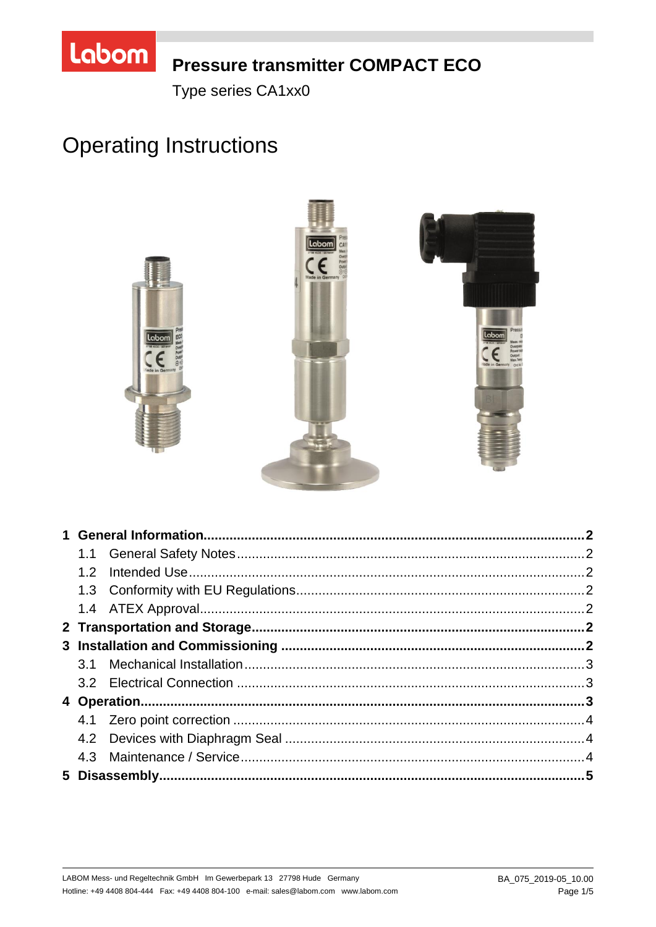

# **Pressure transmitter COMPACT ECO**

Type series CA1xx0

# **Operating Instructions**



| 1.2 |  |  |
|-----|--|--|
|     |  |  |
|     |  |  |
|     |  |  |
|     |  |  |
|     |  |  |
|     |  |  |
|     |  |  |
|     |  |  |
|     |  |  |
|     |  |  |
|     |  |  |
|     |  |  |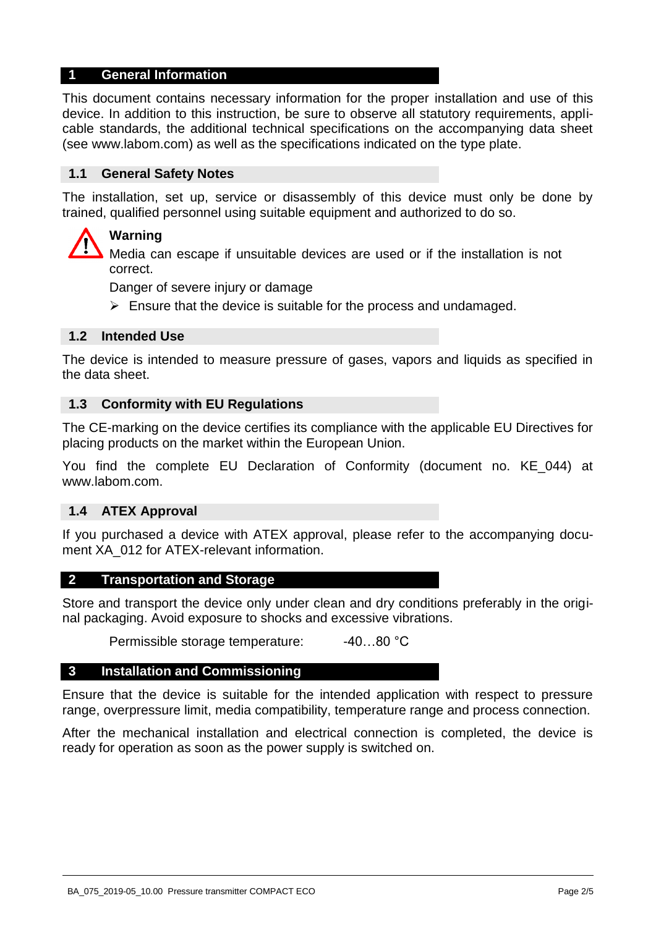# **1 General Information**

This document contains necessary information for the proper installation and use of this device. In addition to this instruction, be sure to observe all statutory requirements, applicable standards, the additional technical specifications on the accompanying data sheet (see www.labom.com) as well as the specifications indicated on the type plate.

# **1.1 General Safety Notes**

The installation, set up, service or disassembly of this device must only be done by trained, qualified personnel using suitable equipment and authorized to do so.

# **Warning**

Media can escape if unsuitable devices are used or if the installation is not correct.

Danger of severe injury or damage

 $\triangleright$  Ensure that the device is suitable for the process and undamaged.

# **1.2 Intended Use**

The device is intended to measure pressure of gases, vapors and liquids as specified in the data sheet.

#### **1.3 Conformity with EU Regulations**

The CE-marking on the device certifies its compliance with the applicable EU Directives for placing products on the market within the European Union.

You find the complete EU Declaration of Conformity (document no. KE\_044) at www.labom.com.

#### **1.4 ATEX Approval**

If you purchased a device with ATEX approval, please refer to the accompanying document XA 012 for ATEX-relevant information.

#### **2 Transportation and Storage**

Store and transport the device only under clean and dry conditions preferably in the original packaging. Avoid exposure to shocks and excessive vibrations.

Permissible storage temperature: -40...80 °C

#### **3 Installation and Commissioning**

Ensure that the device is suitable for the intended application with respect to pressure range, overpressure limit, media compatibility, temperature range and process connection.

After the mechanical installation and electrical connection is completed, the device is ready for operation as soon as the power supply is switched on.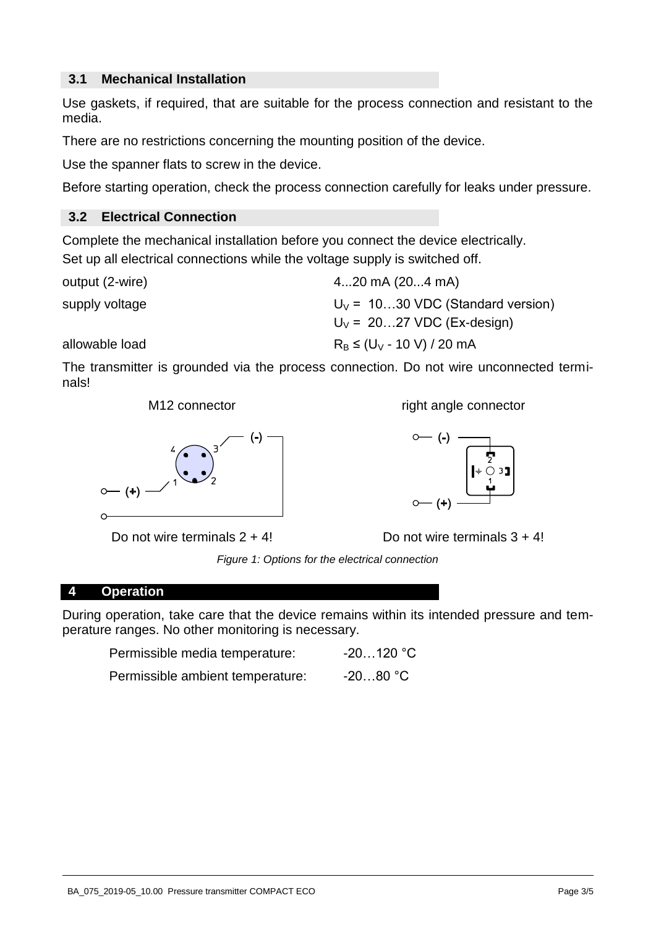# **3.1 Mechanical Installation**

Use gaskets, if required, that are suitable for the process connection and resistant to the media.

There are no restrictions concerning the mounting position of the device.

Use the spanner flats to screw in the device.

Before starting operation, check the process connection carefully for leaks under pressure.

# **3.2 Electrical Connection**

Complete the mechanical installation before you connect the device electrically. Set up all electrical connections while the voltage supply is switched off.

output (2-wire) 4...20 mA (20...4 mA) supply voltage  $U_V = 10...30 \text{ VDC}$  (Standard version)  $U_V$  = 20...27 VDC (Ex-design) allowable load  $R_B \leq (U_V - 10 V) / 20 mA$ 

The transmitter is grounded via the process connection. Do not wire unconnected terminals!



Do not wire terminals  $2 + 4!$  Do not wire terminals  $3 + 4!$ 

M12 connector and right angle connector



*Figure 1: Options for the electrical connection* 

# **4 Operation**

During operation, take care that the device remains within its intended pressure and temperature ranges. No other monitoring is necessary.

| Permissible media temperature:   | $-20120 °C$ |
|----------------------------------|-------------|
| Permissible ambient temperature: | $-2080 °C$  |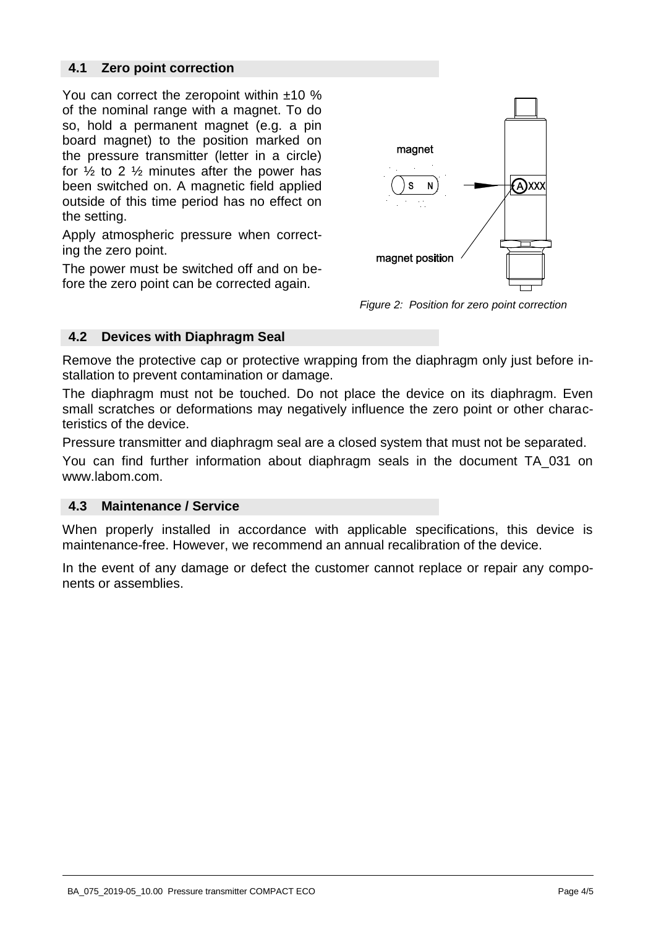# **4.1 Zero point correction**

You can correct the zeropoint within  $±10\%$ of the nominal range with a magnet. To do so, hold a permanent magnet (e.g. a pin board magnet) to the position marked on the pressure transmitter (letter in a circle) for  $\frac{1}{2}$  to 2  $\frac{1}{2}$  minutes after the power has been switched on. A magnetic field applied outside of this time period has no effect on the setting.

Apply atmospheric pressure when correcting the zero point.

The power must be switched off and on before the zero point can be corrected again.



*Figure 2: Position for zero point correction*

# **4.2 Devices with Diaphragm Seal**

Remove the protective cap or protective wrapping from the diaphragm only just before installation to prevent contamination or damage.

The diaphragm must not be touched. Do not place the device on its diaphragm. Even small scratches or deformations may negatively influence the zero point or other characteristics of the device.

Pressure transmitter and diaphragm seal are a closed system that must not be separated.

You can find further information about diaphragm seals in the document TA\_031 on www.labom.com.

# **4.3 Maintenance / Service**

When properly installed in accordance with applicable specifications, this device is maintenance-free. However, we recommend an annual recalibration of the device.

In the event of any damage or defect the customer cannot replace or repair any components or assemblies.